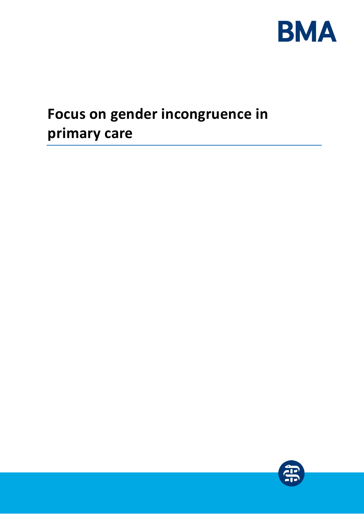

# <span id="page-0-0"></span>**Focus on gender incongruence in primary care**

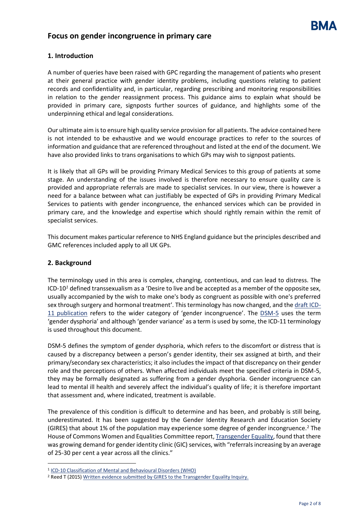## **Focus on gender incongruence in primary care**

## **1. Introduction**

A number of queries have been raised with GPC regarding the management of patients who present at their general practice with gender identity problems, including questions relating to patient records and confidentiality and, in particular, regarding prescribing and monitoring responsibilities in relation to the gender reassignment process. This guidance aims to explain what should be provided in primary care, signposts further sources of guidance, and highlights some of the underpinning ethical and legal considerations.

Our ultimate aim is to ensure high quality service provision for all patients. The advice contained here is not intended to be exhaustive and we would encourage practices to refer to the sources of information and guidance that are referenced throughout and listed at the end of the document. We have also provided links to trans organisations to which GPs may wish to signpost patients.

It is likely that all GPs will be providing Primary Medical Services to this group of patients at some stage. An understanding of the issues involved is therefore necessary to ensure quality care is provided and appropriate referrals are made to specialist services. In our view, there is however a need for a balance between what can justifiably be expected of GPs in providing Primary Medical Services to patients with gender incongruence, the enhanced services which can be provided in primary care, and the knowledge and expertise which should rightly remain within the remit of specialist services.

This document makes particular reference to NHS England guidance but the principles described and GMC references included apply to all UK GPs.

#### **2. Background**

 $\overline{a}$ 

The terminology used in this area is complex, changing, contentious, and can lead to distress. The ICD-10*<sup>1</sup>* defined transsexualism as a 'Desire to live and be accepted as a member of the opposite sex, usually accompanied by the wish to make one's body as congruent as possible with one's preferred sex through surgery and hormonal treatment'. This terminology has now changed, and th[e draft ICD-](https://icd.who.int/dev11/l-m/en)[11 publication](https://icd.who.int/dev11/l-m/en) refers to the wider category of 'gender incongruence'. The [DSM-5](https://www.psychiatry.org/psychiatrists/practice/dsm) uses the term 'gender dysphoria' and although 'gender variance' as a term is used by some, the ICD-11 terminology is used throughout this document.

DSM-5 defines the symptom of gender dysphoria, which refers to the discomfort or distress that is caused by a discrepancy between a person's gender identity, their sex assigned at birth, and their primary/secondary sex characteristics; it also includes the impact of that discrepancy on their gender role and the perceptions of others. When affected individuals meet the specified criteria in DSM-5, they may be formally designated as suffering from a gender dysphoria. Gender incongruence can lead to mental ill health and severely affect the individual's quality of life; it is therefore important that assessment and, where indicated, treatment is available.

The prevalence of this condition is difficult to determine and has been, and probably is still being, underestimated. It has been suggested by the Gender Identity Research and Education Society (GIRES) that about 1% of the population may experience some degree of gender incongruence.<sup>2</sup> The House of Commons Women and Equalities Committee report, [Transgender Equality,](https://publications.parliament.uk/pa/cm201516/cmselect/cmwomeq/390/390.pdf) found that there was growing demand for gender identity clinic (GIC) services, with "referrals increasing by an average of 25-30 per cent a year across all the clinics."

<sup>&</sup>lt;sup>1</sup> [ICD-10 Classification of Mental and Behavioural Disorders \(WHO\)](http://www.who.int/classifications/icd/en/GRNBOOK.pdf)

<sup>2</sup> Reed T (2015) [Written evidence submitted by GIRES to the Transgender Equality Inquiry.](http://data.parliament.uk/writtenevidence/committeeevidence.svc/evidencedocument/women-and-equalities-committee/transgender-equality/written/19292.pdf)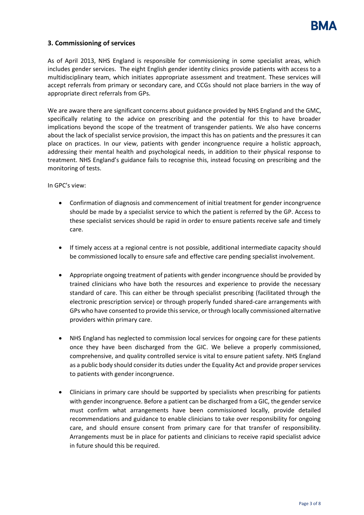

## **3. Commissioning of services**

As of April 2013, NHS England is responsible for commissioning in some specialist areas, which includes gender services. The eight English gender identity clinics provide patients with access to a multidisciplinary team, which initiates appropriate assessment and treatment. These services will accept referrals from primary or secondary care, and CCGs should not place barriers in the way of appropriate direct referrals from GPs.

We are aware there are significant concerns about guidance provided by NHS England and the GMC, specifically relating to the advice on prescribing and the potential for this to have broader implications beyond the scope of the treatment of transgender patients. We also have concerns about the lack of specialist service provision, the impact this has on patients and the pressures it can place on practices. In our view, patients with gender incongruence require a holistic approach, addressing their mental health and psychological needs, in addition to their physical response to treatment. NHS England's guidance fails to recognise this, instead focusing on prescribing and the monitoring of tests.

In GPC's view:

- Confirmation of diagnosis and commencement of initial treatment for gender incongruence should be made by a specialist service to which the patient is referred by the GP. Access to these specialist services should be rapid in order to ensure patients receive safe and timely care.
- If timely access at a regional centre is not possible, additional intermediate capacity should be commissioned locally to ensure safe and effective care pending specialist involvement.
- Appropriate ongoing treatment of patients with gender incongruence should be provided by trained clinicians who have both the resources and experience to provide the necessary standard of care. This can either be through specialist prescribing (facilitated through the electronic prescription service) or through properly funded shared-care arrangements with GPs who have consented to provide this service, or through locally commissioned alternative providers within primary care.
- NHS England has neglected to commission local services for ongoing care for these patients once they have been discharged from the GIC. We believe a properly commissioned, comprehensive, and quality controlled service is vital to ensure patient safety. NHS England as a public body should consider its duties under the Equality Act and provide proper services to patients with gender incongruence.
- Clinicians in primary care should be supported by specialists when prescribing for patients with gender incongruence. Before a patient can be discharged from a GIC, the gender service must confirm what arrangements have been commissioned locally, provide detailed recommendations and guidance to enable clinicians to take over responsibility for ongoing care, and should ensure consent from primary care for that transfer of responsibility. Arrangements must be in place for patients and clinicians to receive rapid specialist advice in future should this be required.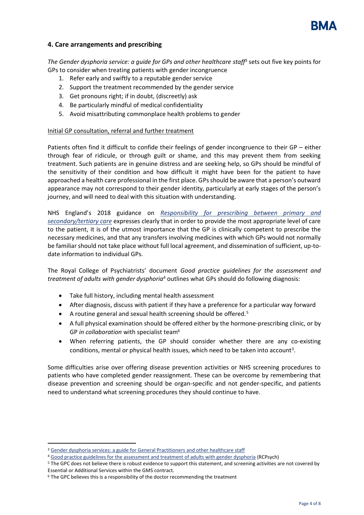<span id="page-3-0"></span>

## **4. Care arrangements and prescribing**

*The Gender dysphoria service: a guide for GPs and other healthcare staff*<sup>3</sup> sets out five key points for GPs to consider when treating patients with gender incongruence

- 1. Refer early and swiftly to a reputable gender service
- 2. Support the treatment recommended by the gender service
- 3. Get pronouns right; if in doubt, (discreetly) ask
- 4. Be particularly mindful of medical confidentiality
- 5. Avoid misattributing commonplace health problems to gender

#### Initial GP consultation, referral and further treatment

Patients often find it difficult to confide their feelings of gender incongruence to their GP – either through fear of ridicule, or through guilt or shame, and this may prevent them from seeking treatment. Such patients are in genuine distress and are seeking help, so GPs should be mindful of the sensitivity of their condition and how difficult it might have been for the patient to have approached a health care professional in the first place. GPs should be aware that a person's outward appearance may not correspond to their gender identity, particularly at early stages of the person's journey, and will need to deal with this situation with understanding.

NHS England's 2018 guidance on *[Responsibility for prescribing between primary and](https://www.england.nhs.uk/publication/responsibility-for-prescribing-between-primary-and-secondary-tertiary-care/)  [secondary/tertiary care](https://www.england.nhs.uk/publication/responsibility-for-prescribing-between-primary-and-secondary-tertiary-care/)* expresses clearly that in order to provide the most appropriate level of care to the patient, it is of the utmost importance that the GP is clinically competent to prescribe the necessary medicines, and that any transfers involving medicines with which GPs would not normally be familiar should not take place without full local agreement, and dissemination of sufficient, up-todate information to individual GPs.

The Royal College of Psychiatrists' document *Good practice guidelines for the assessment and treatment of adults with gender dysphoria*<sup>4</sup> outlines what GPs should do following diagnosis:

- <span id="page-3-1"></span>• Take full history, including mental health assessment
- After diagnosis, discuss with patient if they have a preference for a particular way forward
- A routine general and sexual health screening should be offered.<sup>5</sup>
- A full physical examination should be offered either by the hormone-prescribing clinic, or by GP *in collaboration* with specialist team<sup>6</sup>
- When referring patients, the GP should consider whether there are any co-existing condi[t](#page-3-0)ions, mental or physical health issues, which need to be taken into account<sup>3</sup>.

Some difficulties arise over offering disease prevention activities or NHS screening procedures to patients who have completed gender reassignment. These can be overcome by remembering that disease prevention and screening should be organ-specific and not gender-specific, and patients need to understand what screening procedures they should continue to have.

<sup>&</sup>lt;sup>3</sup> [Gender dysphoria services: a guide for General Practitioners](http://www.nhs.uk/Livewell/Transhealth/Documents/gender-dysphoria-guide-for-gps-and-other-health-care-staff.pdf) and other healthcare staff

<sup>4</sup> [Good practice guidelines for the assessment and treatment of adults with gender dysphoria](http://www.rcpsych.ac.uk/usefulresources/publications/collegereports/cr/cr181.aspx) (RCPsych)

<sup>&</sup>lt;sup>5</sup> The GPC does not believe there is robust evidence to support this statement, and screening activities are not covered by Essential or Additional Services within the GMS contract.

<sup>&</sup>lt;sup>6</sup> The GPC believes this is a responsibility of the doctor recommending the treatment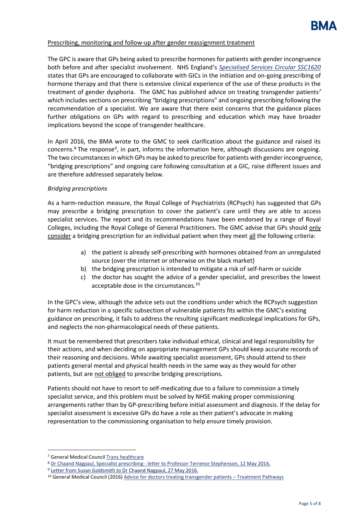

#### Prescribing, monitoring and follow-up after gender reassignment treatment

The GPC is aware that GPs being asked to prescribe hormones for patients with gender incongruence both before and after specialist involvement. NHS England's *[Specialised Services Circular SSC1620](https://shsc.nhs.uk/wp-content/uploads/2016/04/SSC1620_GD-Prescribing.pdf)* states that GPs are encouraged to collaborate with GICs in the initiation and on-going prescribing of hormone therapy and that there is extensive clinical experience of the use of these products in the treatment of gender dysphoria. The GMC has published advice on treating transgender patients*<sup>7</sup>* which includes sections on prescribing "bridging prescriptions" and ongoing prescribing following the recommendation of a specialist. We are aware that there exist concerns that the guidance places further obligations on GPs with regard to prescribing and education which may have broader implications beyond the scope of transgender healthcare.

In April 2016, the BMA wrote to the GMC to seek clarification about the guidance and raised its concerns.<sup>8</sup> The response<sup>9</sup>, in part, informs the information here, although discussions are ongoing. The two circumstances in which GPs may be asked to prescribe for patients with gender incongruence, "bridging prescriptions" and ongoing care following consultation at a GIC, raise different issues and are therefore addressed separately below.

#### *Bridging prescriptions*

As a harm-reduction measure, the Royal College of Psychiatrists (RCPsych) has suggested that GPs may prescribe a bridging prescription to cover the patient's care until they are able to access specialist services. The report and its recommendations have been endorsed by a range of Royal Colleges, including the Royal College of General Practitioners. The GMC advise that GPs should only consider a bridging prescription for an individual patient when they meet all the following criteria:

- a) the patient is already self-prescribing with hormones obtained from an unregulated source (over the internet or otherwise on the black market)
- b) the bridging prescription is intended to mitigate a risk of self-harm or suicide
- c) the doctor has sought the advice of a gender specialist, and prescribes the lowest acceptable dose in the circumstances.<sup>10</sup>

In the GPC's view, although the advice sets out the conditions under which the RCPsych suggestion for harm reduction in a specific subsection of vulnerable patients fits within the GMC's existing guidance on prescribing, it fails to address the resulting significant medicolegal implications for GPs, and neglects the non-pharmacological needs of these patients.

It must be remembered that prescribers take individual ethical, clinical and legal responsibility for their actions, and when deciding on appropriate management GPs should keep accurate records of their reasoning and decisions. While awaiting specialist assessment, GPs should attend to their patients general mental and physical health needs in the same way as they would for other patients, but are not obliged to prescribe bridging prescriptions.

Patients should not have to resort to self-medicating due to a failure to commission a timely specialist service, and this problem must be solved by NHSE making proper commissioning arrangements rather than by GP-prescribing before initial assessment and diagnosis. If the delay for specialist assessment is excessive GPs do have a role as their patient's advocate in making representation to the commissioning organisation to help ensure timely provision.

j

<sup>7</sup> General Medical Council [Trans healthcare](https://www.gmc-uk.org/ethical-guidance/ethical-hub/trans-healthcare)

<sup>8</sup> Dr Chaand Nagpaul, Specialist prescribing - [letter to Professor Terrence Stephenson, 12 May 2016.](http://www.bma.org.uk/-/media/files/pdfs/working%20for%20change/negotiating%20for%20the%20profession/general%20practitioners/letter-to-gmc-on-specialist-prescribing-may-2016.pdf?la=en)

<sup>9</sup> [Letter from Susan Goldsmith to Dr Chaand Nagpaul, 27 May 2016.](#page-0-0)

<sup>&</sup>lt;sup>10</sup> General Medical Council (2016) [Advice for doctors treating transgender patients](https://www.gmc-uk.org/guidance/ethical_guidance/28852.asp) – Treatment Pathways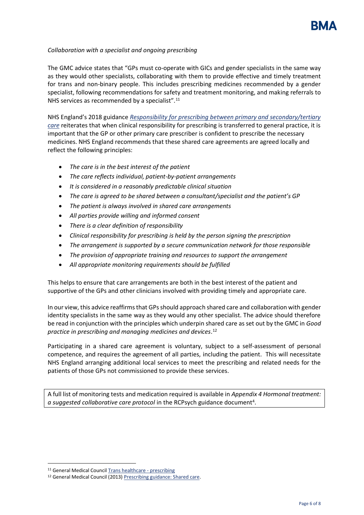

#### *Collaboration with a specialist and ongoing prescribing*

The GMC advice states that "GPs must co-operate with GICs and gender specialists in the same way as they would other specialists, collaborating with them to provide effective and timely treatment for trans and non-binary people. This includes prescribing medicines recommended by a gender specialist, following recommendations for safety and treatment monitoring, and making referrals to NHS services as recommended by a specialist".<sup>11</sup>

NHS England's 2018 guidance *[Responsibility for prescribing between primary and secondary/tertiary](https://www.england.nhs.uk/publication/responsibility-for-prescribing-between-primary-and-secondary-tertiary-care/)  [care](https://www.england.nhs.uk/publication/responsibility-for-prescribing-between-primary-and-secondary-tertiary-care/)* reiterates that when clinical responsibility for prescribing is transferred to general practice, it is important that the GP or other primary care prescriber is confident to prescribe the necessary medicines. NHS England recommends that these shared care agreements are agreed locally and reflect the following principles:

- *The care is in the best interest of the patient*
- *The care reflects individual, patient-by-patient arrangements*
- *It is considered in a reasonably predictable clinical situation*
- *The care is agreed to be shared between a consultant/specialist and the patient's GP*
- *The patient is always involved in shared care arrangements*
- *All parties provide willing and informed consent*
- *There is a clear definition of responsibility*
- *Clinical responsibility for prescribing is held by the person signing the prescription*
- *The arrangement is supported by a secure communication network for those responsible*
- *The provision of appropriate training and resources to support the arrangement*
- *All appropriate monitoring requirements should be fulfilled*

This helps to ensure that care arrangements are both in the best interest of the patient and supportive of the GPs and other clinicians involved with providing timely and appropriate care.

In our view, this advice reaffirms that GPs should approach shared care and collaboration with gender identity specialists in the same way as they would any other specialist. The advice should therefore be read in conjunction with the principles which underpin shared care as set out by the GMC in *Good practice in prescribing and managing medicines and devices*. 12

Participating in a shared care agreement is voluntary, subject to a self-assessment of personal competence, and requires the agreement of all parties, including the patient. This will necessitate NHS England arranging additional local services to meet the prescribing and related needs for the patients of those GPs not commissioned to provide these services.

A full list of monitoring tests and medication required is available in *Appendix 4 Hormonal treatment:*  a sugges[t](#page-3-1)ed collaborative care protocol in the RCPsych guidance document<sup>4</sup>.

<sup>11</sup> General Medical Council [Trans healthcare -](https://www.gmc-uk.org/ethical-guidance/ethical-hub/trans-healthcare) prescribing

<sup>12</sup> General Medical Council (2013) [Prescribing guidance: Shared care.](https://www.gmc-uk.org/guidance/ethical_guidance/14321.asp)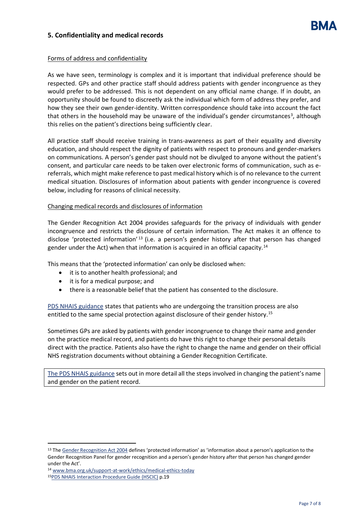## **5. Confidentiality and medical records**

## Forms of address and confidentiality

As we have seen, terminology is complex and it is important that individual preference should be respected. GPs and other practice staff should address patients with gender incongruence as they would prefer to be addressed. This is not dependent on any official name change. If in doubt, an opportunity should be found to discreetly ask the individual which form of address they prefer, and how they see their own gender-identity. Written correspondence should take into account the fact that others in the household may be unaware of the individual's gender circumstances<sup>3</sup>[,](#page-3-0) although this relies on the patient's directions being sufficiently clear.

All practice staff should receive training in trans-awareness as part of their equality and diversity education, and should respect the dignity of patients with respect to pronouns and gender-markers on communications. A person's gender past should not be divulged to anyone without the patient's consent, and particular care needs to be taken over electronic forms of communication, such as ereferrals, which might make reference to past medical history which is of no relevance to the current medical situation. Disclosures of information about patients with gender incongruence is covered below, including for reasons of clinical necessity.

## Changing medical records and disclosures of information

The Gender Recognition Act 2004 provides safeguards for the privacy of individuals with gender incongruence and restricts the disclosure of certain information. The Act makes it an offence to disclose 'protected information' <sup>13</sup> (i.e. a person's gender history after that person has changed gender under the Act) when that information is acquired in an official capacity.<sup>14</sup>

This means that the 'protected information' can only be disclosed when:

- it is to another health professional; and
- it is for a medical purpose; and
- there is a reasonable belief that the patient has consented to the disclosure.

[PDS NHAIS guidance](http://webarchive.nationalarchives.gov.uk/20160921153441/http:/systems.digital.nhs.uk/ssd/downloads/add-downloads/pdsbpg4_2.pdf) states that patients who are undergoing the transition process are also entitled to the same special protection against disclosure of their gender history.<sup>15</sup>

Sometimes GPs are asked by patients with gender incongruence to change their name and gender on the practice medical record, and patients do have this right to change their personal details direct with the practice. Patients also have the right to change the name and gender on their official NHS registration documents without obtaining a Gender Recognition Certificate.

[The PDS NHAIS](http://webarchive.nationalarchives.gov.uk/20160921153441/http:/systems.digital.nhs.uk/ssd/downloads/add-downloads/pdsbpg4_2.pdf) guidance sets out in more detail all the steps involved in changing the patient's name and gender on the patient record.

<sup>&</sup>lt;sup>13</sup> Th[e Gender Recognition Act 2004](https://www.legislation.gov.uk/ukpga/2004/7/contents) defines 'protected information' as 'information about a person's application to the Gender Recognition Panel for gender recognition and a person's gender history after that person has changed gender under the Act'.

<sup>14</sup> [www.bma.org.uk/support-at-work/ethics/medical-ethics-today](http://www.bma.org.uk/support-at-work/ethics/medical-ethics-today)

<sup>15</sup>[PDS NHAIS Interaction Procedure Guide](http://webarchive.nationalarchives.gov.uk/20160921153441/http:/systems.digital.nhs.uk/ssd/downloads/add-downloads/pdsbpg4_2.pdf) (HSCIC) p.19